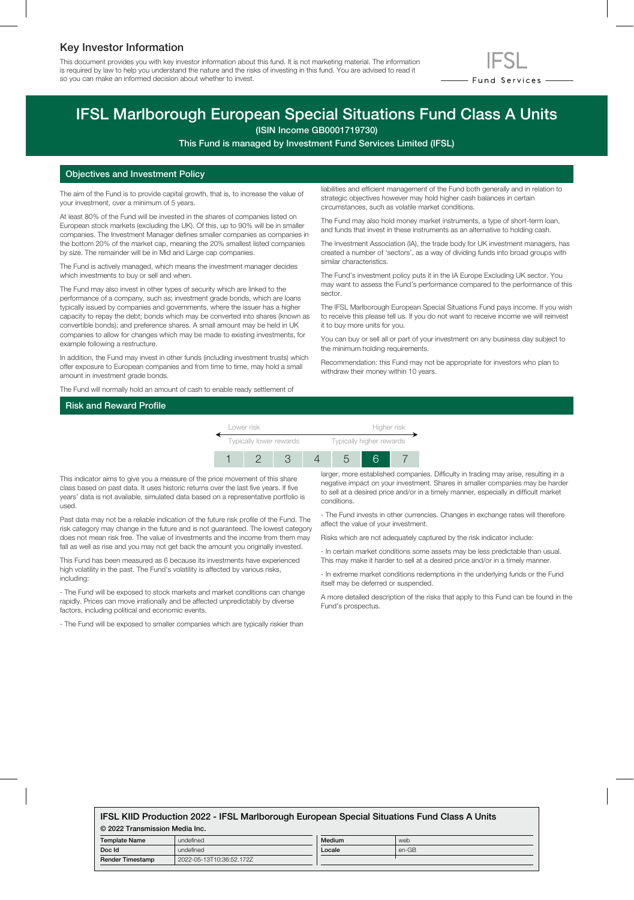### Key Investor Information

This document provides you with key investor information about this fund. It is not marketing material. The information is required by law to help you understand the nature and the risks of investing in this fund. You are advised to read it so you can make an informed decision about whether to invest.



## IFSL Marlborough European Special Situations Fund Class A Units

(ISIN Income GB0001719730)

This Fund is managed by Investment Fund Services Limited (IFSL)

#### Objectives and Investment Policy

The aim of the Fund is to provide capital growth, that is, to increase the value of your investment, over a minimum of 5 years.

At least 80% of the Fund will be invested in the shares of companies listed on European stock markets (excluding the UK). Of this, up to 90% will be in smaller companies. The Investment Manager defines smaller companies as companies in the bottom 20% of the market cap, meaning the 20% smallest listed companies by size. The remainder will be in Mid and Large cap companies.

The Fund is actively managed, which means the investment manager decides which investments to buy or sell and when.

The Fund may also invest in other types of security which are linked to the performance of a company, such as; investment grade bonds, which are loans typically issued by companies and governments, where the issuer has a higher capacity to repay the debt; bonds which may be converted into shares (known as convertible bonds); and preference shares. A small amount may be held in UK companies to allow for changes which may be made to existing investments, for example following a restructure.

In addition, the Fund may invest in other funds (including investment trusts) which offer exposure to European companies and from time to time, may hold a small amount in investment grade bonds.

The Fund will normally hold an amount of cash to enable ready settlement of

liabilities and efficient management of the Fund both generally and in relation to strategic objectives however may hold higher cash balances in certain circumstances, such as volatile market conditions.

The Fund may also hold money market instruments, a type of short-term loan, and funds that invest in these instruments as an alternative to holding cash.

The Investment Association (IA), the trade body for UK investment managers, has created a number of 'sectors', as a way of dividing funds into broad groups with similar characteristics.

The Fund's investment policy puts it in the IA Europe Excluding UK sector. You may want to assess the Fund's performance compared to the performance of this sector.

The IFSL Marlborough European Special Situations Fund pays income. If you wish to receive this please tell us. If you do not want to receive income we will reinvest it to buy more units for you.

You can buy or sell all or part of your investment on any business day subject to the minimum holding requirements.

Recommendation: this Fund may not be appropriate for investors who plan to withdraw their money within 10 years.

#### Risk and Reward Profile



This indicator aims to give you a measure of the price movement of this share class based on past data. It uses historic returns over the last five years. If five years' data is not available, simulated data based on a representative portfolio is used.

Past data may not be a reliable indication of the future risk profile of the Fund. The risk category may change in the future and is not guaranteed. The lowest category does not mean risk free. The value of investments and the income from them may fall as well as rise and you may not get back the amount you originally invested.

This Fund has been measured as 6 because its investments have experienced high volatility in the past. The Fund's volatility is affected by various risks, including:

- The Fund will be exposed to stock markets and market conditions can change rapidly. Prices can move irrationally and be affected unpredictably by diverse factors, including political and economic events.

- The Fund will be exposed to smaller companies which are typically riskier than

larger, more established companies. Difficulty in trading may arise, resulting in a negative impact on your investment. Shares in smaller companies may be harder to sell at a desired price and/or in a timely manner, especially in difficult market conditions.

- The Fund invests in other currencies. Changes in exchange rates will therefore affect the value of your investment.

Risks which are not adequately captured by the risk indicator include:

- In certain market conditions some assets may be less predictable than usual. This may make it harder to sell at a desired price and/or in a timely manner.

- In extreme market conditions redemptions in the underlying funds or the Fund itself may be deferred or suspended.

A more detailed description of the risks that apply to this Fund can be found in the Fund's prospectus.